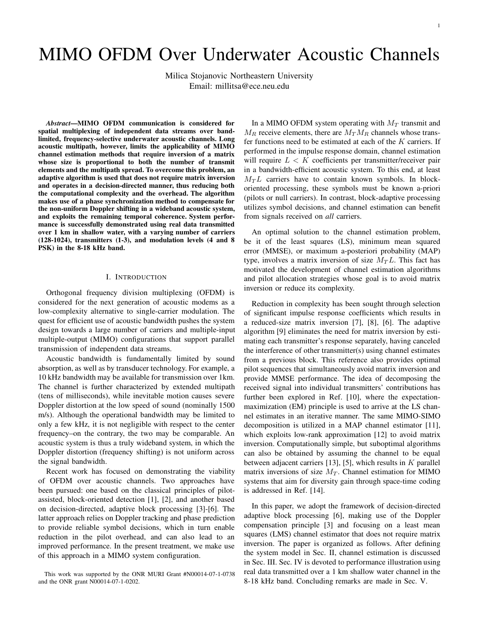# MIMO OFDM Over Underwater Acoustic Channels

Milica Stojanovic Northeastern University Email: millitsa@ece.neu.edu

Abstract—MIMO OFDM communication is considered for spatial multiplexing of independent data streams over bandlimited, frequency-selective underwater acoustic channels. Long acoustic multipath, however, limits the applicability of MIMO channel estimation methods that require inversion of a matrix whose size is proportional to both the number of transmit elements and the multipath spread. To overcome this problem, an adaptive algorithm is used that does not require matrix inversion and operates in a decision-directed manner, thus reducing both the computational complexity and the overhead. The algorithm makes use of a phase synchronization method to compensate for the non-uniform Doppler shifting in a wideband acoustic system, and exploits the remaining temporal coherence. System performance is successfully demonstrated using real data transmitted over 1 km in shallow water, with a varying number of carriers (128-1024), transmitters (1-3), and modulation levels (4 and 8 PSK) in the 8-18 kHz band.

# I. INTRODUCTION

Orthogonal frequency division multiplexing (OFDM) is considered for the next generation of acoustic modems as a low-complexity alternative to single-carrier modulation. The quest for efficient use of acoustic bandwidth pushes the system design towards a large number of carriers and multiple-input multiple-output (MIMO) configurations that support parallel transmission of independent data streams.

Acoustic bandwidth is fundamentally limited by sound absorption, as well as by transducer technology. For example, a 10 kHz bandwidth may be available for transmission over 1km. The channel is further characterized by extended multipath (tens of milliseconds), while inevitable motion causes severe Doppler distortion at the low speed of sound (nominally 1500 m/s). Although the operational bandwidth may be limited to only a few kHz, it is not negligible with respect to the center frequency–on the contrary, the two may be comparable. An acoustic system is thus a truly wideband system, in which the Doppler distortion (frequency shifting) is not uniform across the signal bandwidth.

Recent work has focused on demonstrating the viability of OFDM over acoustic channels. Two approaches have been pursued: one based on the classical principles of pilotassisted, block-oriented detection [1], [2], and another based on decision-directed, adaptive block processing [3]-[6]. The latter approach relies on Doppler tracking and phase prediction to provide reliable symbol decisions, which in turn enable reduction in the pilot overhead, and can also lead to an improved performance. In the present treatment, we make use of this approach in a MIMO system configuration.

In a MIMO OFDM system operating with  $M_T$  transmit and  $M_R$  receive elements, there are  $M_T M_R$  channels whose transfer functions need to be estimated at each of the  $K$  carriers. If performed in the impulse response domain, channel estimation will require  $L < K$  coefficients per transmitter/receiver pair in a bandwidth-efficient acoustic system. To this end, at least  $M_T L$  carriers have to contain known symbols. In blockoriented processing, these symbols must be known a-priori (pilots or null carriers). In contrast, block-adaptive processing utilizes symbol decisions, and channel estimation can benefit from signals received on all carriers.

An optimal solution to the channel estimation problem, be it of the least squares (LS), minimum mean squared error (MMSE), or maximum a-posteriori probability (MAP) type, involves a matrix inversion of size  $M<sub>T</sub>L$ . This fact has motivated the development of channel estimation algorithms and pilot allocation strategies whose goal is to avoid matrix inversion or reduce its complexity.

Reduction in complexity has been sought through selection of significant impulse response coefficients which results in a reduced-size matrix inversion [7], [8], [6]. The adaptive algorithm [9] eliminates the need for matrix inversion by estimating each transmitter's response separately, having canceled the interference of other transmitter(s) using channel estimates from a previous block. This reference also provides optimal pilot sequences that simultaneously avoid matrix inversion and provide MMSE performance. The idea of decomposing the received signal into individual transmitters' contributions has further been explored in Ref. [10], where the expectationmaximization (EM) principle is used to arrive at the LS channel estimates in an iterative manner. The same MIMO-SIMO decomposition is utilized in a MAP channel estimator [11], which exploits low-rank approximation [12] to avoid matrix inversion. Computationally simple, but suboptimal algorithms can also be obtained by assuming the channel to be equal between adjacent carriers [13], [5], which results in  $K$  parallel matrix inversions of size  $M_T$ . Channel estimation for MIMO systems that aim for diversity gain through space-time coding is addressed in Ref. [14].

In this paper, we adopt the framework of decision-directed adaptive block processing [6], making use of the Doppler compensation principle [3] and focusing on a least mean squares (LMS) channel estimator that does not require matrix inversion. The paper is organized as follows. After defining the system model in Sec. II, channel estimation is discussed in Sec. III. Sec. IV is devoted to performance illustration using real data transmitted over a 1 km shallow water channel in the 8-18 kHz band. Concluding remarks are made in Sec. V.

This work was supported by the ONR MURI Grant #N00014-07-1-0738 and the ONR grant N00014-07-1-0202.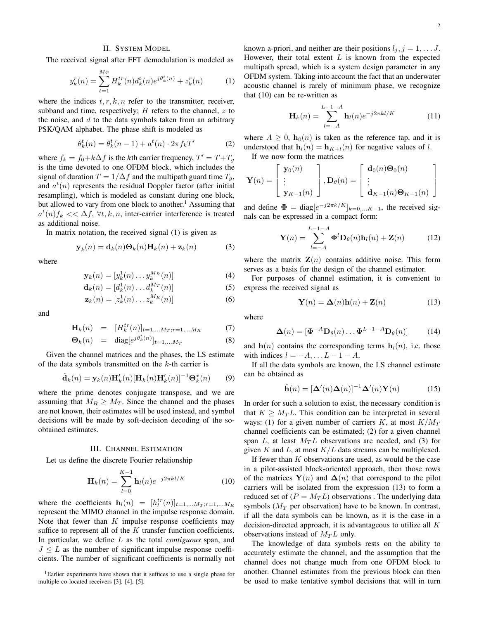# II. SYSTEM MODEL

The received signal after FFT demodulation is modeled as

$$
y_k^r(n) = \sum_{t=1}^{M_T} H_k^{tr}(n) d_k^t(n) e^{j\theta_k^t(n)} + z_k^r(n)
$$
 (1)

where the indices  $t, r, k, n$  refer to the transmitter, receiver, subband and time, respectively;  $H$  refers to the channel,  $z$  to the noise, and  $d$  to the data symbols taken from an arbitrary PSK/QAM alphabet. The phase shift is modeled as

$$
\theta_k^t(n) = \theta_k^t(n-1) + a^t(n) \cdot 2\pi f_k T'
$$
 (2)

where  $f_k = f_0 + k\Delta f$  is the kth carrier frequency,  $T' = T + T_g$ is the time devoted to one OFDM block, which includes the signal of duration  $T = 1/\Delta f$  and the multipath guard time  $T_q$ , and  $a^t(n)$  represents the residual Doppler factor (after initial resampling), which is modeled as constant during one block, but allowed to vary from one block to another.<sup>1</sup> Assuming that  $a^t(n) f_k \ll \Delta f$ ,  $\forall t, k, n$ , inter-carrier interference is treated as additional noise.

In matrix notation, the received signal (1) is given as

$$
\mathbf{y}_k(n) = \mathbf{d}_k(n)\mathbf{\Theta}_k(n)\mathbf{H}_k(n) + \mathbf{z}_k(n) \tag{3}
$$

where

$$
\mathbf{y}_k(n) = [y_k^1(n) \dots y_k^{M_R}(n)] \tag{4}
$$

$$
\mathbf{d}_k(n) = [d_k^1(n) \dots d_k^{M_T}(n)] \tag{5}
$$

$$
\mathbf{z}_k(n) = [z_k^1(n) \dots z_k^{M_R}(n)] \tag{6}
$$

and

$$
\mathbf{H}_k(n) = [H_k^{tr}(n)]_{t=1,...M_T; r=1,...M_R} \tag{7}
$$

$$
\mathbf{\Theta}_k(n) = \text{diag}[e^{j\theta_k^t(n)}]_{t=1,...M_T}
$$
 (8)

Given the channel matrices and the phases, the LS estimate of the data symbols transmitted on the  $k$ -th carrier is

$$
\hat{\mathbf{d}}_k(n) = \mathbf{y}_k(n) \mathbf{H}'_k(n) [\mathbf{H}_k(n) \mathbf{H}'_k(n)]^{-1} \mathbf{\Theta}_k^*(n) \tag{9}
$$

where the prime denotes conjugate transpose, and we are assuming that  $M_R \geq M_T$ . Since the channel and the phases are not known, their estimates will be used instead, and symbol decisions will be made by soft-decision decoding of the soobtained estimates.

#### III. CHANNEL ESTIMATION

Let us define the discrete Fourier relationship

$$
\mathbf{H}_{k}(n) = \sum_{l=0}^{K-1} \mathbf{h}_{l}(n) e^{-j2\pi kl/K}
$$
 (10)

where the coefficients  $\mathbf{h}_l(n) = [h_l^{tr}(n)]_{t=1,...M_T; r=1,...M_R}$ represent the MIMO channel in the impulse response domain. Note that fewer than  $K$  impulse response coefficients may suffice to represent all of the  $K$  transfer function coefficients. In particular, we define  $L$  as the total *contiguous* span, and  $J \leq L$  as the number of significant impulse response coefficients. The number of significant coefficients is normally not

<sup>1</sup>Earlier experiments have shown that it suffices to use a single phase for multiple co-located receivers [3], [4], [5].

known a-priori, and neither are their positions  $l_j$ ,  $j = 1, \ldots J$ . However, their total extent  $L$  is known from the expected multipath spread, which is a system design parameter in any OFDM system. Taking into account the fact that an underwater acoustic channel is rarely of minimum phase, we recognize that (10) can be re-written as

$$
\mathbf{H}_k(n) = \sum_{l=-A}^{L-1-A} \mathbf{h}_l(n) e^{-j2\pi kl/K}
$$
 (11)

where  $A \geq 0$ ,  $h_0(n)$  is taken as the reference tap, and it is understood that  $\mathbf{h}_l(n) = \mathbf{h}_{K+l}(n)$  for negative values of l. If we now form the matrices

$$
\mathbf{Y}(n) = \begin{bmatrix} \mathbf{y}_0(n) \\ \vdots \\ \mathbf{y}_{K-1}(n) \end{bmatrix}, \mathbf{D}_{\theta}(n) = \begin{bmatrix} \mathbf{d}_0(n)\mathbf{\Theta}_0(n) \\ \vdots \\ \mathbf{d}_{K-1}(n)\mathbf{\Theta}_{K-1}(n) \end{bmatrix}
$$

and define  $\mathbf{\Phi} = \text{diag}[e^{-j2\pi k/K}]_{k=0,...K-1}$ , the received signals can be expressed in a compact form:

$$
\mathbf{Y}(n) = \sum_{l=-A}^{L-1-A} \mathbf{\Phi}^l \mathbf{D}_{\theta}(n) \mathbf{h}_l(n) + \mathbf{Z}(n) \tag{12}
$$

where the matrix  $\mathbf{Z}(n)$  contains additive noise. This form serves as a basis for the design of the channel estimator.

For purposes of channel estimation, it is convenient to express the received signal as

$$
\mathbf{Y}(n) = \mathbf{\Delta}(n)\mathbf{h}(n) + \mathbf{Z}(n) \tag{13}
$$

where

$$
\mathbf{\Delta}(n) = [\mathbf{\Phi}^{-A} \mathbf{D}_{\theta}(n) \dots \mathbf{\Phi}^{L-1-A} \mathbf{D}_{\theta}(n)] \quad (14)
$$

and  $h(n)$  contains the corresponding terms  $h_l(n)$ , i.e. those with indices  $l = -A, \ldots L - 1 - A$ .

If all the data symbols are known, the LS channel estimate can be obtained as

$$
\hat{\mathbf{h}}(n) = [\Delta'(n)\Delta(n)]^{-1}\Delta'(n)\mathbf{Y}(n)
$$
\n(15)

In order for such a solution to exist, the necessary condition is that  $K \geq M_T L$ . This condition can be interpreted in several ways: (1) for a given number of carriers K, at most  $K/M_T$ channel coefficients can be estimated; (2) for a given channel span L, at least  $M_T L$  observations are needed, and (3) for given  $K$  and  $L$ , at most  $K/L$  data streams can be multiplexed.

If fewer than  $K$  observations are used, as would be the case in a pilot-assisted block-oriented approach, then those rows of the matrices  $\mathbf{Y}(n)$  and  $\mathbf{\Delta}(n)$  that correspond to the pilot carriers will be isolated from the expression (13) to form a reduced set of  $(P = M_T L)$  observations. The underlying data symbols ( $M_T$  per observation) have to be known. In contrast, if all the data symbols can be known, as it is the case in a decision-directed approach, it is advantageous to utilize all  $K$ observations instead of  $M_T L$  only.

The knowledge of data symbols rests on the ability to accurately estimate the channel, and the assumption that the channel does not change much from one OFDM block to another. Channel estimates from the previous block can then be used to make tentative symbol decisions that will in turn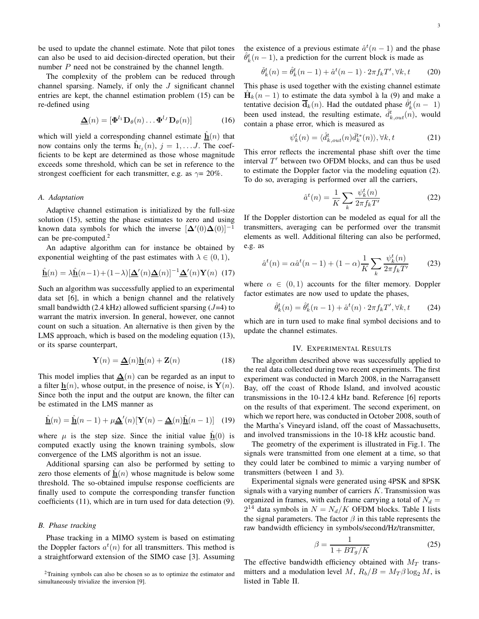be used to update the channel estimate. Note that pilot tones can also be used to aid decision-directed operation, but their number  $P$  need not be constrained by the channel length.

The complexity of the problem can be reduced through channel sparsing. Namely, if only the  $J$  significant channel entries are kept, the channel estimation problem (15) can be re-defined using

$$
\underline{\mathbf{\Delta}}(n) = [\mathbf{\Phi}^{l_1} \mathbf{D}_{\theta}(n) \dots \mathbf{\Phi}^{l_J} \mathbf{D}_{\theta}(n)] \tag{16}
$$

which will yield a corresponding channel estimate  $\underline{\mathbf{h}}(n)$  that now contains only the terms  $\mathbf{h}_{i_j}(n)$ ,  $j = 1, \dots, J$ . The coefficients to be kept are determined as those whose magnitude exceeds some threshold, which can be set in reference to the strongest coefficient for each transmitter, e.g. as  $\gamma = 20\%$ .

## A. Adaptation

Adaptive channel estimation is initialized by the full-size solution (15), setting the phase estimates to zero and using known data symbols for which the inverse  $[\Delta'(0)\Delta(0)]^{-1}$ can be pre-computed. $2$ 

An adaptive algorithm can for instance be obtained by exponential weighting of the past estimates with  $\lambda \in (0, 1)$ ,

$$
\underline{\hat{\mathbf{h}}}(n) = \lambda \underline{\hat{\mathbf{h}}}(n-1) + (1-\lambda) [\underline{\Delta}^{\prime}(n) \underline{\Delta}(n)]^{-1} \underline{\Delta}^{\prime}(n) \mathbf{Y}(n) \tag{17}
$$

Such an algorithm was successfully applied to an experimental data set [6], in which a benign channel and the relatively small bandwidth (2.4 kHz) allowed sufficient sparsing  $(J=4)$  to warrant the matrix inversion. In general, however, one cannot count on such a situation. An alternative is then given by the LMS approach, which is based on the modeling equation (13), or its sparse counterpart,

$$
\mathbf{Y}(n) = \underline{\mathbf{\Delta}}(n)\underline{\mathbf{h}}(n) + \mathbf{Z}(n) \tag{18}
$$

This model implies that  $\Delta(n)$  can be regarded as an input to a filter  $h(n)$ , whose output, in the presence of noise, is  $Y(n)$ . Since both the input and the output are known, the filter can be estimated in the LMS manner as

$$
\underline{\hat{\mathbf{h}}}(n) = \underline{\hat{\mathbf{h}}}(n-1) + \mu \underline{\Delta}'(n) [\mathbf{Y}(n) - \underline{\Delta}(n) \underline{\hat{\mathbf{h}}}(n-1)] \quad (19)
$$

where  $\mu$  is the step size. Since the initial value  $\mathbf{h}(0)$  is computed exactly using the known training symbols, slow convergence of the LMS algorithm is not an issue.

Additional sparsing can also be performed by setting to zero those elements of  $\hat{h}(n)$  whose magnitude is below some threshold. The so-obtained impulse response coefficients are finally used to compute the corresponding transfer function coefficients (11), which are in turn used for data detection (9).

## B. Phase tracking

Phase tracking in a MIMO system is based on estimating the Doppler factors  $a^t(n)$  for all transmitters. This method is a straightforward extension of the SIMO case [3]. Assuming the existence of a previous estimate  $\hat{a}^t(n-1)$  and the phase  $\hat{\theta}_k^t(n-1)$ , a prediction for the current block is made as

$$
\check{\theta}_k^t(n) = \hat{\theta}_k^t(n-1) + \hat{a}^t(n-1) \cdot 2\pi f_k T', \forall k, t \tag{20}
$$

This phase is used together with the existing channel estimate  $\hat{H}_k(n-1)$  to estimate the data symbol à la (9) and make a tentative decision  $\overline{\mathbf{d}}_k(n)$ . Had the outdated phase  $\hat{\theta}_k^t(n-1)$ been used instead, the resulting estimate,  $\hat{d}_{k,out}^{t}(n)$ , would contain a phase error, which is measured as

$$
\psi_k^t(n) = \langle \hat{d}_{k,out}^t(n) \bar{d}_k^{t*}(n) \rangle, \forall k, t \tag{21}
$$

This error reflects the incremental phase shift over the time interval  $T'$  between two OFDM blocks, and can thus be used to estimate the Doppler factor via the modeling equation (2). To do so, averaging is performed over all the carriers,

$$
\hat{a}^{t}(n) = \frac{1}{K} \sum_{k} \frac{\psi_{k}^{t}(n)}{2\pi f_{k} T'} \tag{22}
$$

If the Doppler distortion can be modeled as equal for all the transmitters, averaging can be performed over the transmit elements as well. Additional filtering can also be performed, e.g. as

$$
\hat{a}^{t}(n) = \alpha \hat{a}^{t}(n-1) + (1-\alpha) \frac{1}{K} \sum_{k} \frac{\psi_{k}^{t}(n)}{2\pi f_{k} T'} \tag{23}
$$

where  $\alpha \in (0,1)$  accounts for the filter memory. Doppler factor estimates are now used to update the phases,

$$
\hat{\theta}_k^t(n) = \hat{\theta}_k^t(n-1) + \hat{a}^t(n) \cdot 2\pi f_k T', \forall k, t \tag{24}
$$

which are in turn used to make final symbol decisions and to update the channel estimates.

# IV. EXPERIMENTAL RESULTS

The algorithm described above was successfully applied to the real data collected during two recent experiments. The first experiment was conducted in March 2008, in the Narragansett Bay, off the coast of Rhode Island, and involved acoustic transmissions in the 10-12.4 kHz band. Reference [6] reports on the results of that experiment. The second experiment, on which we report here, was conducted in October 2008, south of the Martha's Vineyard island, off the coast of Massachusetts, and involved transmissions in the 10-18 kHz acoustic band.

The geometry of the experiment is illustrated in Fig.1. The signals were transmitted from one element at a time, so that they could later be combined to mimic a varying number of transmitters (between 1 and 3).

Experimental signals were generated using 4PSK and 8PSK signals with a varying number of carriers  $K$ . Transmission was organized in frames, with each frame carrying a total of  $N_d =$  $2^{14}$  data symbols in  $N = N_d/K$  OFDM blocks. Table I lists the signal parameters. The factor  $\beta$  in this table represents the raw bandwidth efficiency in symbols/second/Hz/transmitter,

$$
\beta = \frac{1}{1 + BT_g/K} \tag{25}
$$

The effective bandwidth efficiency obtained with  $M_T$  transmitters and a modulation level M,  $R_b/B = M_T \beta \log_2 M$ , is listed in Table II.

<sup>&</sup>lt;sup>2</sup>Training symbols can also be chosen so as to optimize the estimator and simultaneously trivialize the inversion [9].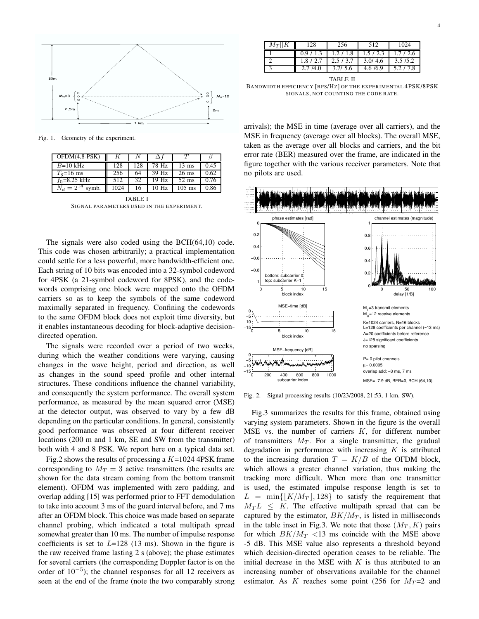

Fig. 1. Geometry of the experiment.

| $\overline{OPDM(4, 8-PSK)}$ |      |     |                    |                 |      |  |  |  |
|-----------------------------|------|-----|--------------------|-----------------|------|--|--|--|
| $B=10$ kHz                  | 128  | 128 | 78 Hz              | $13 \text{ ms}$ | 0.45 |  |  |  |
| $T_a=16$ ms                 | 256  | 64  | $\overline{39}$ Hz | $26$ ms         | 0.62 |  |  |  |
| $f_0 = 8.25$ kHz            | 512  | 32  | 19 Hz              | $52 \text{ ms}$ | 0.76 |  |  |  |
| $N_d = 2^{14}$ symb.        | 1024 | 16  | 10 Hz              | $105$ ms        | 0.86 |  |  |  |
| TABLE I                     |      |     |                    |                 |      |  |  |  |

SIGNAL PARAMETERS USED IN THE EXPERIMENT.

The signals were also coded using the BCH(64,10) code. This code was chosen arbitrarily; a practical implementation could settle for a less powerful, more bandwidth-efficient one. Each string of 10 bits was encoded into a 32-symbol codeword for 4PSK (a 21-symbol codeword for 8PSK), and the codewords comprising one block were mapped onto the OFDM carriers so as to keep the symbols of the same codeword maximally separated in frequency. Confining the codewords to the same OFDM block does not exploit time diversity, but it enables instantaneous decoding for block-adaptive decisiondirected operation.

The signals were recorded over a period of two weeks, during which the weather conditions were varying, causing changes in the wave height, period and direction, as well as changes in the sound speed profile and other internal structures. These conditions influence the channel variability, and consequently the system performance. The overall system performance, as measured by the mean squared error (MSE) at the detector output, was observed to vary by a few dB depending on the particular conditions. In general, consistently good performance was observed at four different receiver locations (200 m and 1 km, SE and SW from the transmitter) both with 4 and 8 PSK. We report here on a typical data set.

Fig.2 shows the results of processing a  $K=1024$  4PSK frame corresponding to  $M_T = 3$  active transmitters (the results are shown for the data stream coming from the bottom transmit element). OFDM was implemented with zero padding, and overlap adding [15] was performed prior to FFT demodulation to take into account 3 ms of the guard interval before, and 7 ms after an OFDM block. This choice was made based on separate channel probing, which indicated a total multipath spread somewhat greater than 10 ms. The number of impulse response coefficients is set to  $L=128$  (13 ms). Shown in the figure is the raw received frame lasting 2 s (above); the phase estimates for several carriers (the corresponding Doppler factor is on the order of  $10^{-5}$ ); the channel responses for all 12 receivers as seen at the end of the frame (note the two comparably strong

| $M_T  K $ | 28      |         | 512                                     | 1024      |
|-----------|---------|---------|-----------------------------------------|-----------|
|           | 0.9/1.3 |         | $1.2 / 1.8$   $1.5 / 2.3$   $1.7 / 2.6$ |           |
|           | 1.8/2.7 | 2.5/3.7 | 3.0/4.6                                 | 3.5/5.2   |
|           | 2.7/4.0 | 3.7/5.6 | 4.6 /6.9                                | 5.2 / 7.8 |

TABLE II BANDWIDTH EFFICIENCY [BPS/HZ] OF THE EXPERIMENTAL 4PSK/8PSK S IGNALS, NOT COUNTING THE CODE RATE.

arrivals); the MSE in time (average over all carriers), and the MSE in frequency (average over all blocks). The overall MSE, taken as the average over all blocks and carriers, and the bit error rate (BER) measured over the frame, are indicated in the figure together with the various receiver parameters. Note that no pilots are used.



Fig. 2. Signal processing results (10/23/2008, 21:53, 1 km, SW).

Fig.3 summarizes the results for this frame, obtained using varying system parameters. Shown in the figure is the overall MSE vs. the number of carriers  $K$ , for different number of transmitters  $M_T$ . For a single transmitter, the gradual degradation in performance with increasing  $K$  is attributed to the increasing duration  $T = K/B$  of the OFDM block, which allows a greater channel variation, thus making the tracking more difficult. When more than one transmitter is used, the estimated impulse response length is set to  $L = \min\{|K/M_T|, 128\}$  to satisfy the requirement that  $M_T L \leq K$ . The effective multipath spread that can be captured by the estimator,  $BK/M_T$ , is listed in milliseconds in the table inset in Fig.3. We note that those  $(M_T, K)$  pairs for which  $BK/M_T$  <13 ms coincide with the MSE above -5 dB. This MSE value also represents a threshold beyond which decision-directed operation ceases to be reliable. The initial decrease in the MSE with  $K$  is thus attributed to an increasing number of observations available for the channel estimator. As K reaches some point (256 for  $M_T = 2$  and